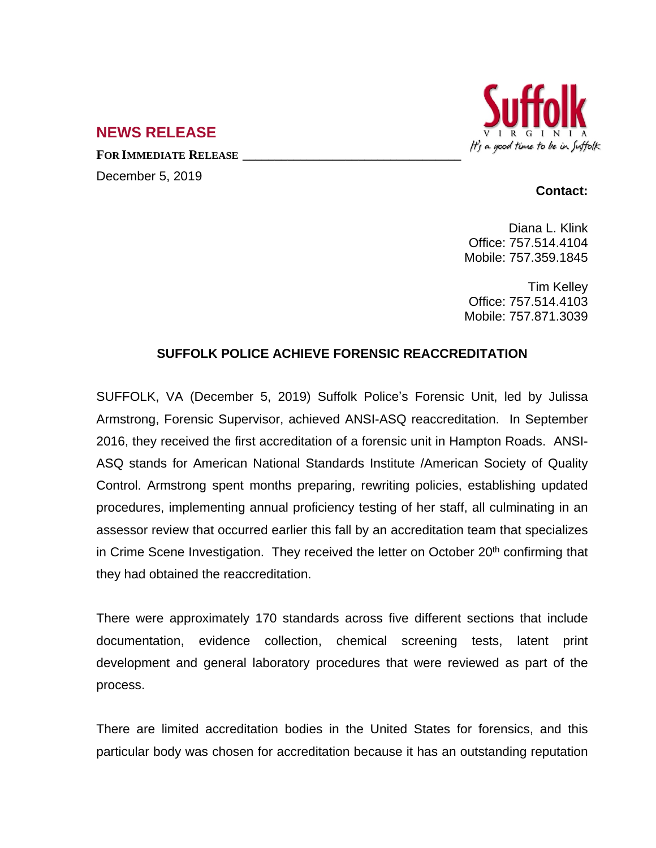

## **NEWS RELEASE**

**FOR IMMEDIATE RELEASE \_\_\_\_\_\_\_\_\_\_\_\_\_\_\_\_\_\_\_\_\_\_\_\_\_\_\_\_\_\_\_\_\_\_** December 5, 2019

## **Contact:**

Diana L. Klink Office: 757.514.4104 Mobile: 757.359.1845

Tim Kelley Office: 757.514.4103 Mobile: 757.871.3039

## **SUFFOLK POLICE ACHIEVE FORENSIC REACCREDITATION**

SUFFOLK, VA (December 5, 2019) Suffolk Police's Forensic Unit, led by Julissa Armstrong, Forensic Supervisor, achieved ANSI-ASQ reaccreditation. In September 2016, they received the first accreditation of a forensic unit in Hampton Roads. ANSI-ASQ stands for American National Standards Institute /American Society of Quality Control. Armstrong spent months preparing, rewriting policies, establishing updated procedures, implementing annual proficiency testing of her staff, all culminating in an assessor review that occurred earlier this fall by an accreditation team that specializes in Crime Scene Investigation. They received the letter on October 20<sup>th</sup> confirming that they had obtained the reaccreditation.

There were approximately 170 standards across five different sections that include documentation, evidence collection, chemical screening tests, latent print development and general laboratory procedures that were reviewed as part of the process.

There are limited accreditation bodies in the United States for forensics, and this particular body was chosen for accreditation because it has an outstanding reputation